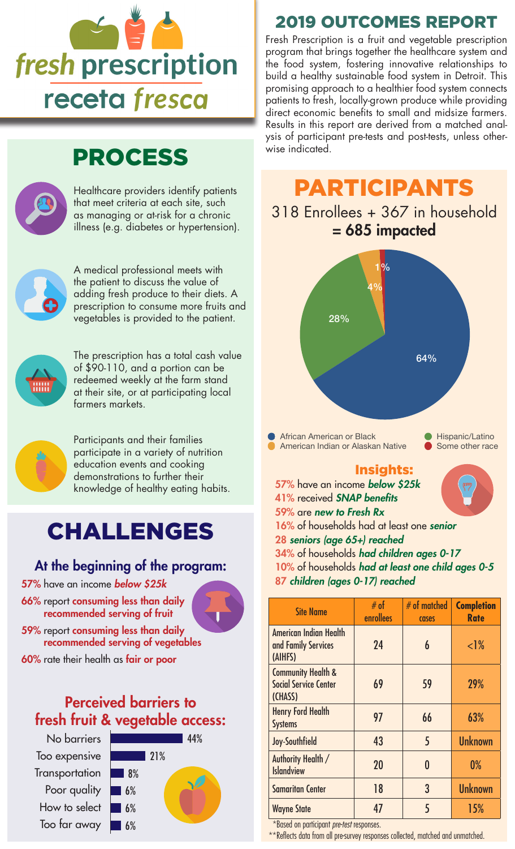

## PROCESS



#### that meet criteria at each site, such as managing or at-risk for a chronic illness (e.g. diabetes or hypertension).



A medical professional meets with the patient to discuss the value of adding fresh produce to their diets. A prescription to consume more fruits and vegetables is provided to the patient.



The prescription has a total cash value of \$90-110, and a portion can be redeemed weekly at the farm stand at their site, or at participating local farmers markets.



Participants and their families participate in a variety of nutrition education events and cooking demonstrations to further their knowledge of healthy eating habits.

# CHALLENGES

#### At the beginning of the program:

- 57% have an income *below \$25k*
- 66% report consuming less than daily recommended serving of fruit



59% report consuming less than daily recommended serving of vegetables

60% rate their health as fair or poor

### Perceived barriers to fresh fruit & vegetable access:

No barriers Too expensive **Transportation** Poor quality How to select Too far away



### 2019 OUTCOMES REPORT

Fresh Prescription is a fruit and vegetable prescription program that brings together the healthcare system and the food system, fostering innovative relationships to build a healthy sustainable food system in Detroit. This promising approach to a healthier food system connects patients to fresh, locally-grown produce while providing direct economic benefits to small and midsize farmers. Results in this report are derived from a matched analysis of participant pre-tests and post-tests, unless otherwise indicated.

# Healthcare providers identify patients **PARTICIPANTS**

### 318 Enrollees + 367 in household = 685 impacted



African American or Black **African American or Black** Hispanic/Latino American Indian or Alaskan Native **Some other race** 

#### Insights:



41% received *SNAP benefits* 59% are *new to Fresh Rx* 16% of households had at least one *senior* 28 *seniors (age 65+) reached* 34% of households *had children ages 0-17* 10% of households *had at least one child ages 0-5* 87 *children (ages 0-17) reached*

| <b>Site Name</b>                                                         | # of<br>enrollees | $#$ of matched<br>cases | <b>Completion</b><br><b>Rate</b> |
|--------------------------------------------------------------------------|-------------------|-------------------------|----------------------------------|
| <b>American Indian Health</b><br>and Family Services<br>(AIHFS)          | 24                | 6                       | $<$ l%                           |
| <b>Community Health &amp;</b><br><b>Social Service Center</b><br>(CHASS) | 69                | 59                      | 29%                              |
| <b>Henry Ford Health</b><br><b>Systems</b>                               | 97                | 66                      | 63%                              |
| Joy-Southfield                                                           | 43                | 5                       | <b>Unknown</b>                   |
| Authority Health /<br><b>Islandview</b>                                  | 20                |                         | 0%                               |
| <b>Samaritan Center</b>                                                  | 18                | 3                       | <b>Unknown</b>                   |
| <b>Wayne State</b>                                                       | 47                | 5                       | 15%                              |

\*Based on participant *pre-test* responses.

\*\*Reflects data from all pre-survey responses collected, matched and unmatched.